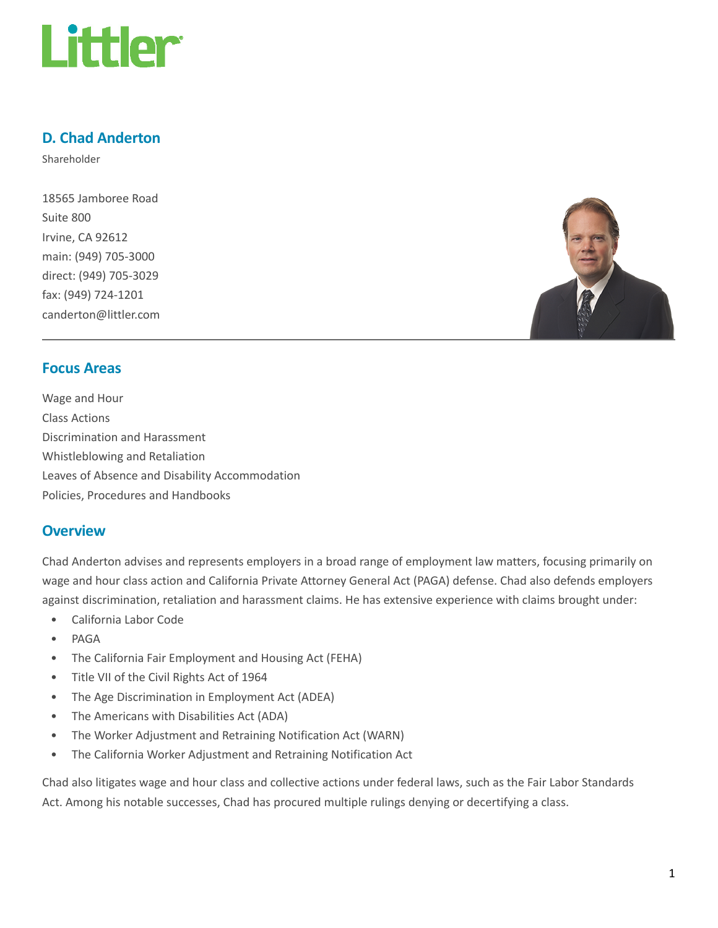

# D. Chad Anderton

Shareholder

18565 Jamboree Road Suite 800 Irvine, CA 92612 main: (949) 705-3000 direct: (949) 705-3029 fax: (949) 724-1201 canderton@littler.com



### Focus Areas

Wage and Hour Class Actions Discrimination and Harassment Whistleblowing and Retaliation Leaves of Absence and Disability Accommodation Policies, Procedures and Handbooks

#### **Overview**

Chad Anderton advises and represents employers in a broad range of employment law matters, focusing primarily on wage and hour class action and California Private Attorney General Act (PAGA) defense. Chad also defends employers against discrimination, retaliation and harassment claims. He has extensive experience with claims brought under:

- California Labor Code
- PAGA
- The California Fair Employment and Housing Act (FEHA)
- Title VII of the Civil Rights Act of 1964
- The Age Discrimination in Employment Act (ADEA)
- The Americans with Disabilities Act (ADA)
- The Worker Adjustment and Retraining Notification Act (WARN)
- The California Worker Adjustment and Retraining Notification Act

Chad also litigates wage and hour class and collective actions under federal laws, such as the Fair Labor Standards Act. Among his notable successes, Chad has procured multiple rulings denying or decertifying a class.